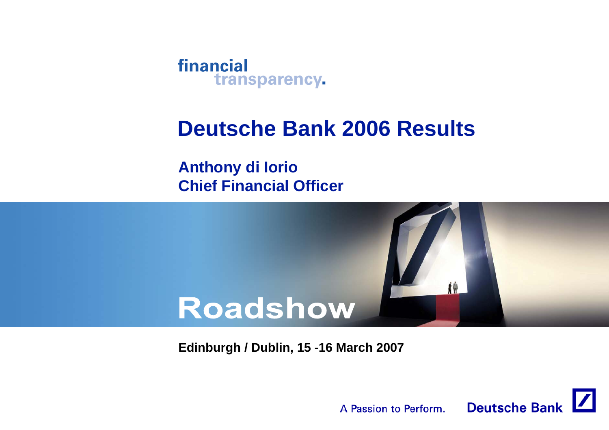

# **Deutsche Bank 2006 Results**

**Anthony di Iorio Chief Financial Officer**



**Edinburgh / Dublin, 15 -16 March 2007**

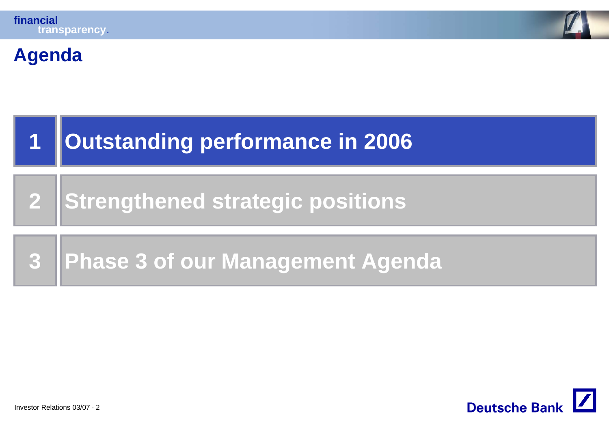

#### **Agenda**



**2Strengthened strategic positions**

#### **3Phase 3 of our Management Agenda**

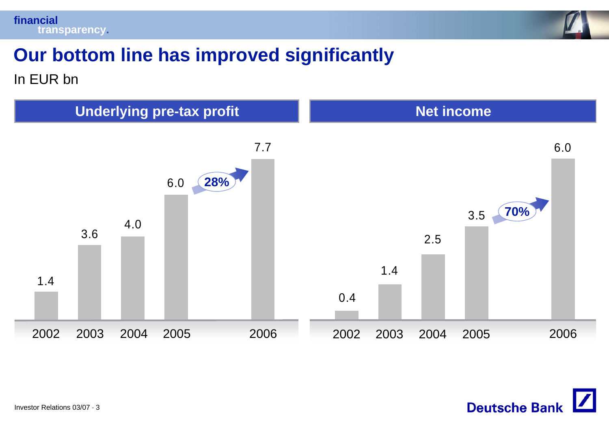



# **Our bottom line has improved significantly**

In EUR bn



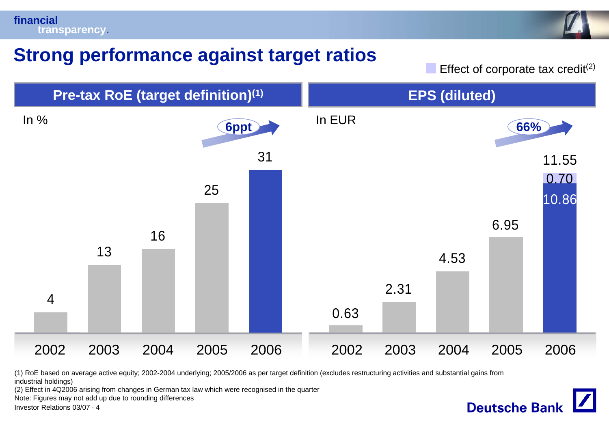



### **Strong performance against target ratios**

Effect of corporate tax credit $(2)$ 

**Deutsche Bank** 



(1) RoE based on average active equity; 2002-2004 underlying; 2005/2006 as per target definition (excludes restructuring activities and substantial gains from industrial holdings)

(2) Effect in 4Q2006 arising from changes in German tax law which were recognised in the quarter

Note: Figures may not add up due to rounding differences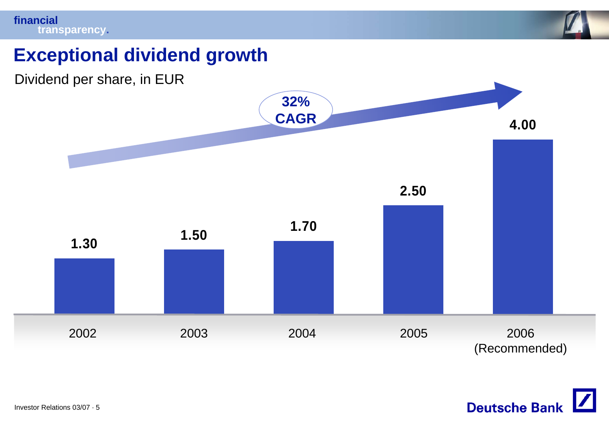

## **Exceptional dividend growth**



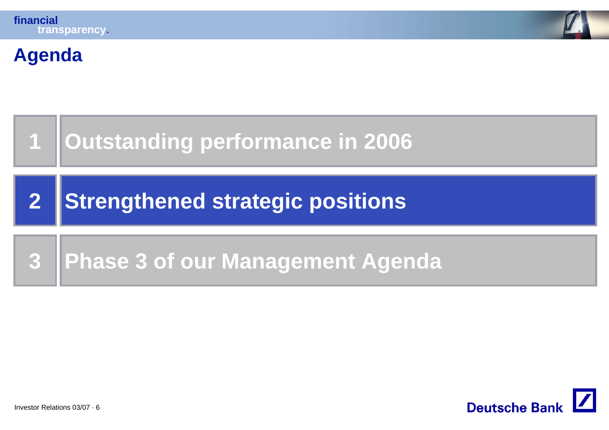

#### **Agenda**



**2Strengthened strategic positions**

#### **3Phase 3 of our Management Agenda**

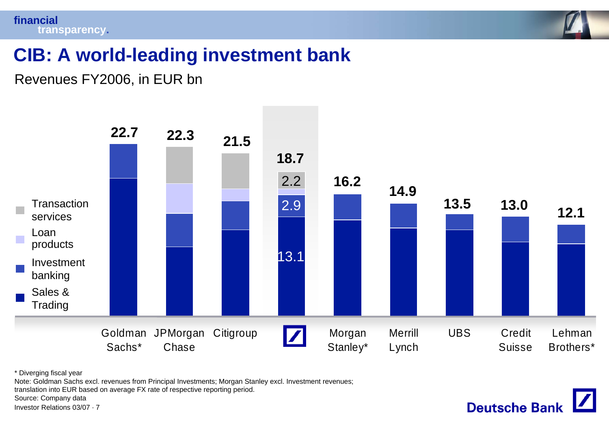

# **CIB: A world-leading investment bank**

Revenues FY2006, in EUR bn



\* Diverging fiscal year

Note: Goldman Sachs excl. revenues from Principal Investments; Morgan Stanley excl. Investment revenues;

translation into EUR based on average FX rate of respective reporting period.

Source: Company data

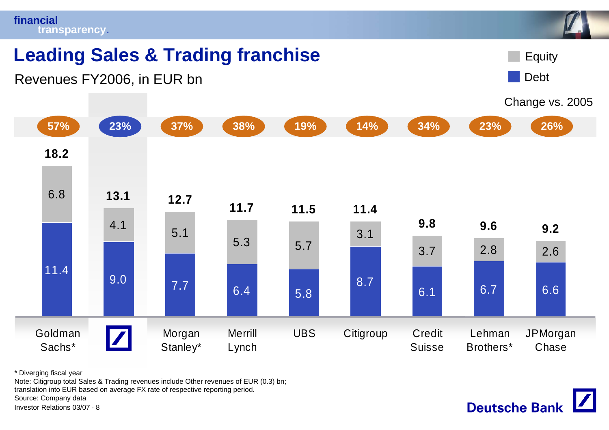

\* Diverging fiscal year

Note: Citigroup total Sales & Trading revenues include Other revenues of EUR (0.3) bn; translation into EUR based on average FX rate of respective reporting period. Source: Company data

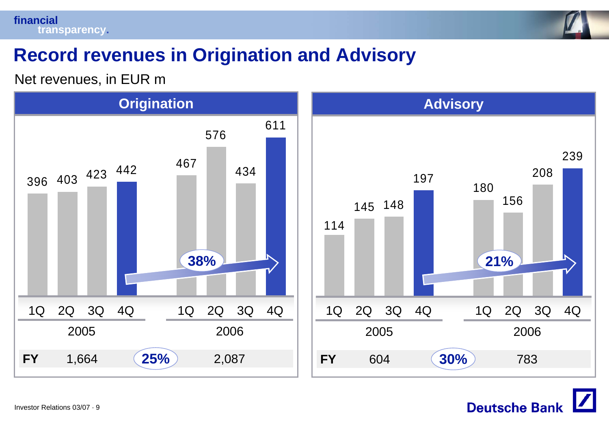



## **Record revenues in Origination and Advisory**

Net revenues, in EUR m



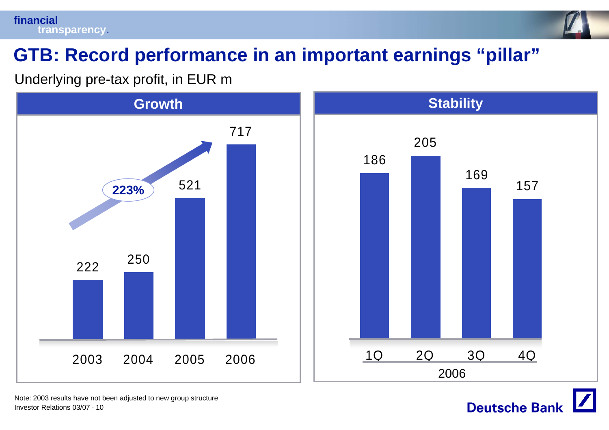

# **GTB: Record performance in an important earnings "pillar"**

Underlying pre-tax profit, in EUR m



Investor Relations 03/07 · 10Note: 2003 results have not been adjusted to new group structure

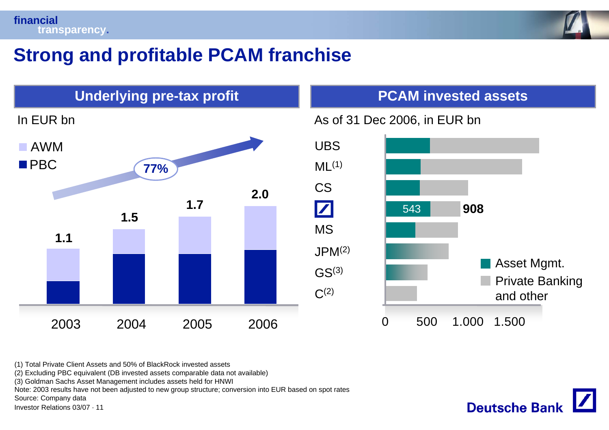

## **Strong and profitable PCAM franchise**



(1) Total Private Client Assets and 50% of BlackRock invested assets

(2) Excluding PBC equivalent (DB invested assets comparable data not available)

(3) Goldman Sachs Asset Management includes assets held for HNWI

Note: 2003 results have not been adjusted to new group structure; conversion into EUR based on spot rates

Source: Company data

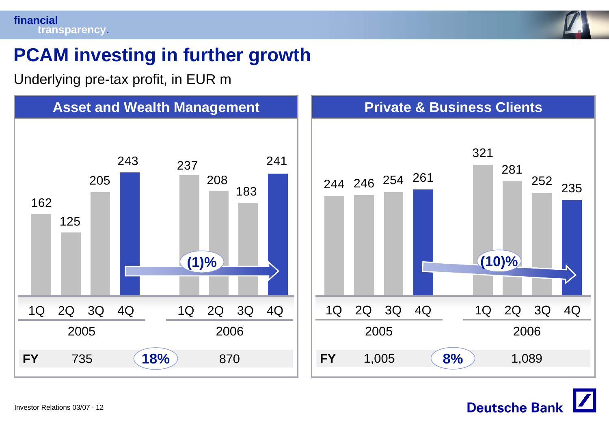

# **PCAM investing in further growth**

Underlying pre-tax profit, in EUR m



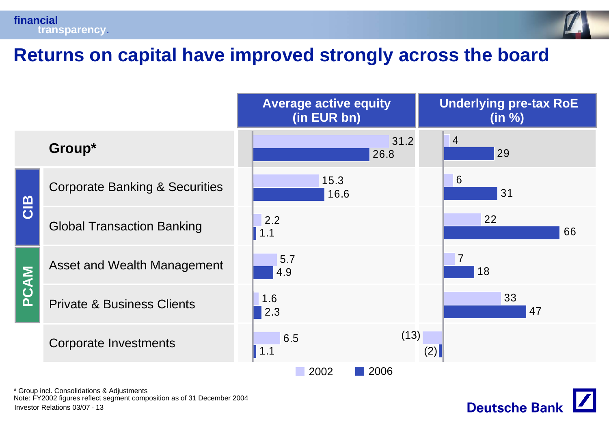



### **Returns on capital have improved strongly across the board**

|      |                                           | <b>Average active equity</b><br>(in EUR bn) |              | <b>Underlying pre-tax RoE</b><br>(in %) |
|------|-------------------------------------------|---------------------------------------------|--------------|-----------------------------------------|
|      | Group*                                    |                                             | 31.2<br>26.8 | $\overline{4}$<br>29                    |
| CIB  | <b>Corporate Banking &amp; Securities</b> | 15.3<br>16.6                                |              | $6\phantom{1}6$<br>31                   |
|      | <b>Global Transaction Banking</b>         | 2.2<br>1.1                                  |              | 22<br>66                                |
| PCAM | Asset and Wealth Management               | 5.7<br>4.9                                  |              | $\overline{7}$<br>18                    |
|      | <b>Private &amp; Business Clients</b>     | 1.6<br>2.3                                  |              | 33<br>47                                |
|      | <b>Corporate Investments</b>              | 6.5<br>$\vert$ 1.1                          | (13)<br>(2)  |                                         |
|      | 2002<br>2006                              |                                             |              |                                         |

\* Group incl. Consolidations & Adjustments

Investor Relations 03/07 · 13Note: FY2002 figures reflect segment composition as of 31 December 2004

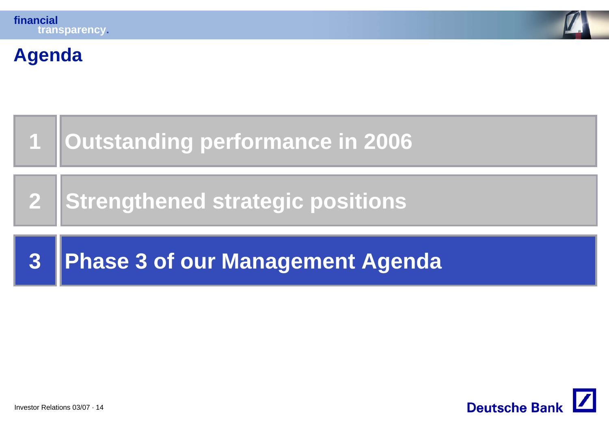

#### **Agenda**



**2Strengthened strategic positions**

#### **3Phase 3 of our Management Agenda**

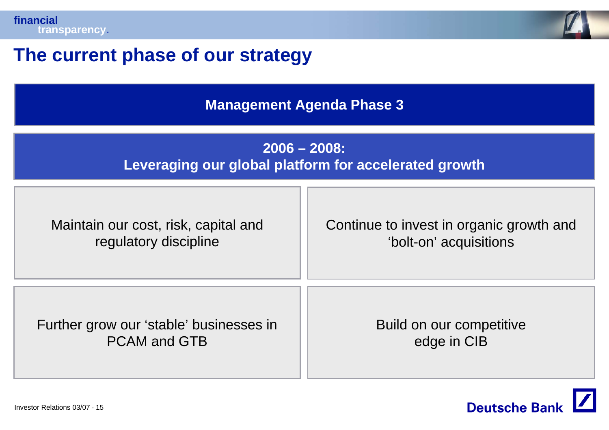



## **The current phase of our strategy**

**Management Agenda Phase 3**

#### **2006 – 2008: Leveraging our global platform for accelerated growth**

| Maintain our cost, risk, capital and    | Continue to invest in organic growth and |
|-----------------------------------------|------------------------------------------|
| regulatory discipline                   | 'bolt-on' acquisitions                   |
| Further grow our 'stable' businesses in | Build on our competitive                 |
| <b>PCAM and GTB</b>                     | edge in CIB                              |

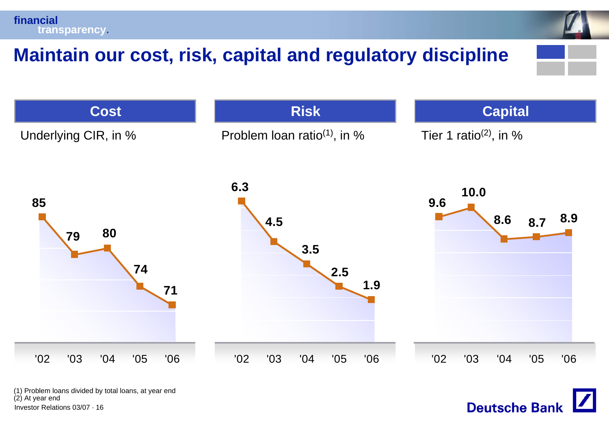**financialtransparency.**

# **Maintain our cost, risk, capital and regulatory discipline**



Investor Relations 03/07 · 16(1) Problem loans divided by total loans, at year end (2) At year end

**Deutsche Bank**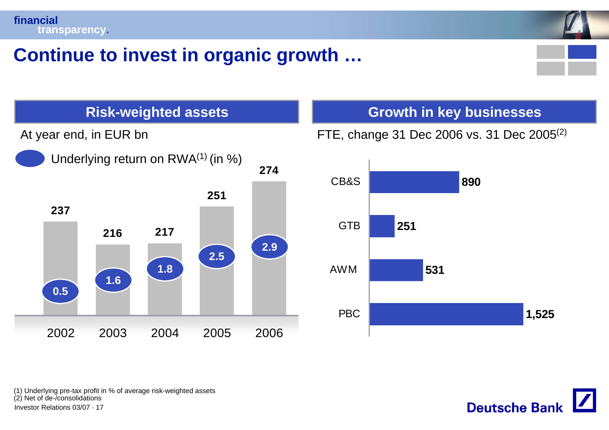



## **Continue to invest in organic growth …**





FTE, change 31 Dec 2006 vs. 31 Dec 2005(2)



(1) Underlying pre-tax profit in % of average risk-weighted assets (2) Net of de-/consolidations

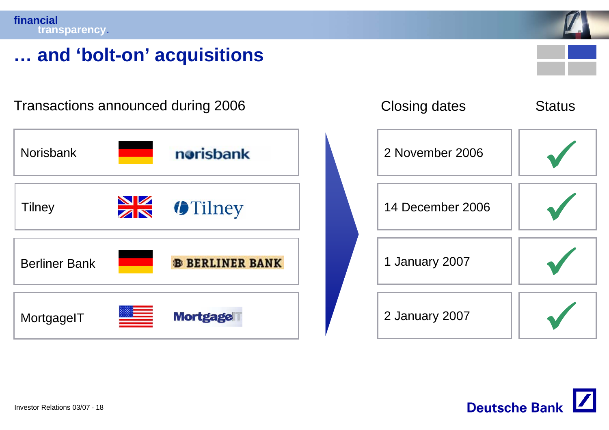

## **… and 'bolt-on' acquisitions**

norisbank NorisbankTilney **14 December 2006** Berliner Bank**B BERLINER BANK MortgageIT Mortgage** 



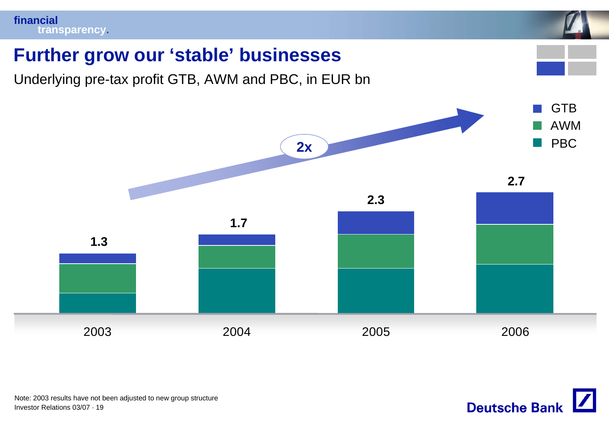

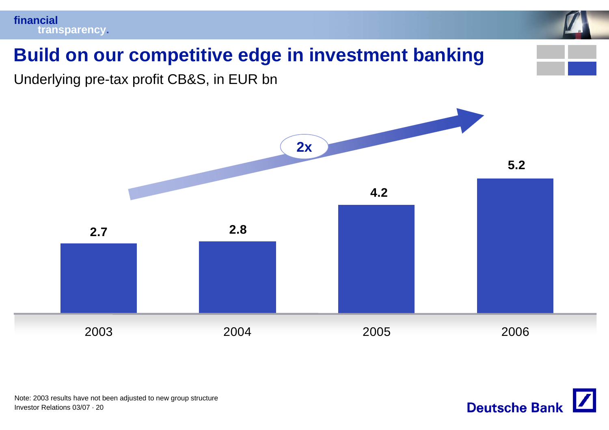

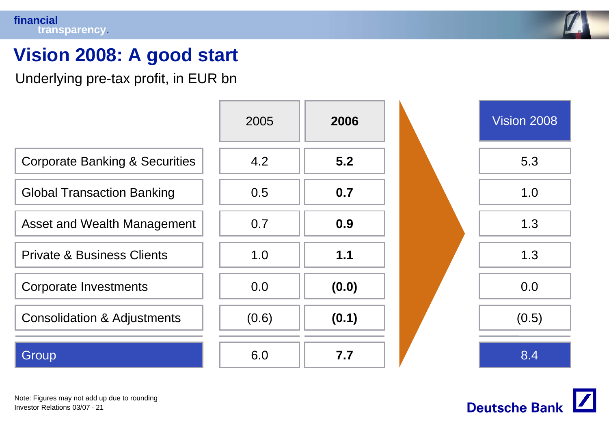#### **financialtransparency.**



# **Vision 2008: A good start**

Underlying pre-tax profit, in EUR bn





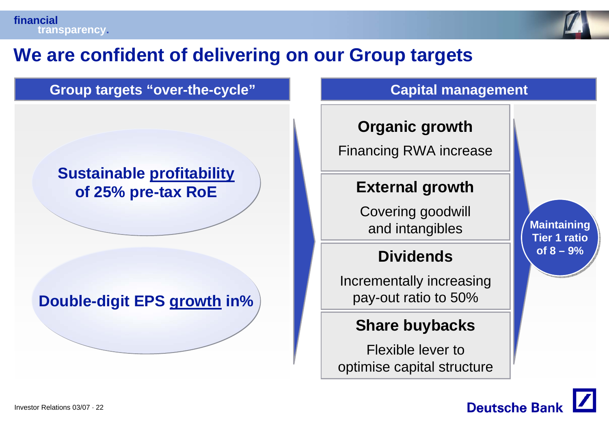

# **We are confident of delivering on our Group targets**

#### **Group targets "over-the-cycle" Capital management**

#### **Sustainable profitability of 25% pre-tax RoE**

#### **Double-digit EPS growth in%**

#### **Organic growth**

Financing RWA increase

#### **External growth**

Covering goodwill **and intangibles** 

#### **Dividends**

Incrementally increasing pay-out ratio to 50%

#### **Share buybacks**

Flexible lever tooptimise capital structure

**of 8 – 9%of 8 – 9%Maintaining Tier 1 ratio**